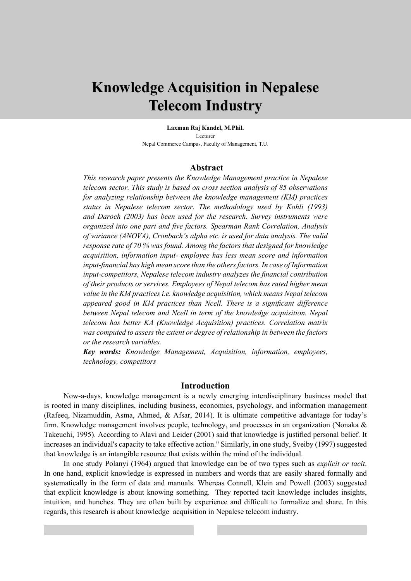# **Knowledge Acquisition in Nepalese Telecom Industry**

**Laxman Raj Kandel, M.Phil.** Lecturer Nepal Commerce Campus, Faculty of Management, T.U.

#### **Abstract**

*This research paper presents the Knowledge Management practice in Nepalese telecom sector. This study is based on cross section analysis of 85 observations for analyzing relationship between the knowledge management (KM) practices status in Nepalese telecom sector. The methodology used by Kohli (1993) and Daroch (2003) has been used for the research. Survey instruments were organized into one part and five factors. Spearman Rank Correlation, Analysis of variance (ANOVA), Cronbach's alpha etc. is used for data analysis. The valid response rate of 70 % was found. Among the factors that designed for knowledge acquisition, information input- employee has less mean score and information input-financial has high mean score than the others factors. In case of Information input-competitors, Nepalese telecom industry analyzes the financial contribution of their products or services. Employees of Nepal telecom has rated higher mean value in the KM practices i.e. knowledge acquisition, which means Nepal telecom appeared good in KM practices than Ncell. There is a significant difference*  between Nepal telecom and Ncell in term of the knowledge acquisition. Nepal *telecom has better KA (Knowledge Acquisition) practices. Correlation matrix was computed to assess the extent or degree of relationship in between the factors or the research variables.* 

*Key words: Knowledge Management, Acquisition, information, employees, technology, competitors*

#### **Introduction**

Now-a-days, knowledge management is a newly emerging interdisciplinary business model that is rooted in many disciplines, including business, economics, psychology, and information management (Rafeeq, Nizamuddin, Asma, Ahmed, & Afsar, 2014). It is ultimate competitive advantage for today's firm. Knowledge management involves people, technology, and processes in an organization (Nonaka & Takeuchi, 1995). According to Alavi and Leider (2001) said that knowledge is justified personal belief. It increases an individual's capacity to take effective action." Similarly, in one study, Sveiby (1997) suggested that knowledge is an intangible resource that exists within the mind of the individual.

In one study Polanyi (1964) argued that knowledge can be of two types such as *explicit or tacit*. In one hand, explicit knowledge is expressed in numbers and words that are easily shared formally and systematically in the form of data and manuals. Whereas Connell, Klein and Powell (2003) suggested that explicit knowledge is about knowing something. They reported tacit knowledge includes insights, intuition, and hunches. They are often built by experience and difficult to formalize and share. In this regards, this research is about knowledge acquisition in Nepalese telecom industry.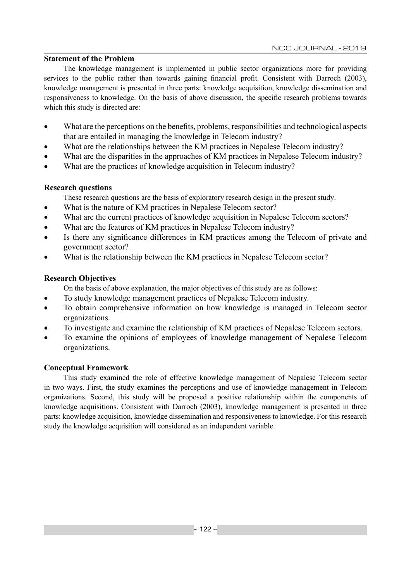#### **Statement of the Problem**

The knowledge management is implemented in public sector organizations more for providing services to the public rather than towards gaining financial profit. Consistent with Darroch (2003), knowledge management is presented in three parts: knowledge acquisition, knowledge dissemination and responsiveness to knowledge. On the basis of above discussion, the specific research problems towards which this study is directed are:

- What are the perceptions on the benefits, problems, responsibilities and technological aspects that are entailed in managing the knowledge in Telecom industry?
- What are the relationships between the KM practices in Nepalese Telecom industry?
- What are the disparities in the approaches of KM practices in Nepalese Telecom industry?
- What are the practices of knowledge acquisition in Telecom industry?

## **Research questions**

These research questions are the basis of exploratory research design in the present study.

- What is the nature of KM practices in Nepalese Telecom sector?
- What are the current practices of knowledge acquisition in Nepalese Telecom sectors?
- What are the features of KM practices in Nepalese Telecom industry?
- Is there any significance differences in KM practices among the Telecom of private and government sector?
- What is the relationship between the KM practices in Nepalese Telecom sector?

## **Research Objectives**

- On the basis of above explanation, the major objectives of this study are as follows:
- To study knowledge management practices of Nepalese Telecom industry.
- To obtain comprehensive information on how knowledge is managed in Telecom sector organizations.
- To investigate and examine the relationship of KM practices of Nepalese Telecom sectors.
- To examine the opinions of employees of knowledge management of Nepalese Telecom organizations.

## **Conceptual Framework**

This study examined the role of effective knowledge management of Nepalese Telecom sector in two ways. First, the study examines the perceptions and use of knowledge management in Telecom organizations. Second, this study will be proposed a positive relationship within the components of knowledge acquisitions. Consistent with Darroch (2003), knowledge management is presented in three parts: knowledge acquisition, knowledge dissemination and responsiveness to knowledge. For this research study the knowledge acquisition will considered as an independent variable.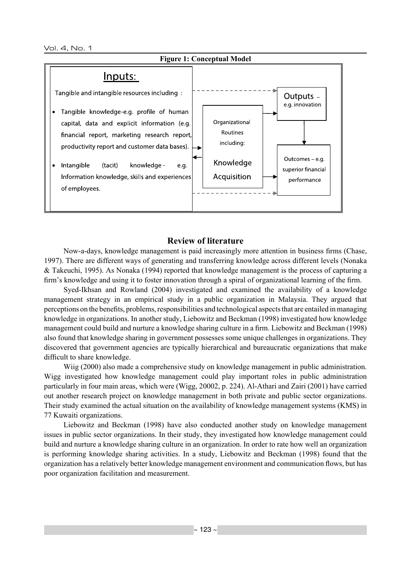

#### **Review of literature**

Now-a-days, knowledge management is paid increasingly more attention in business firms (Chase, 1997). There are different ways of generating and transferring knowledge across different levels (Nonaka & Takeuchi, 1995). As Nonaka (1994) reported that knowledge management is the process of capturing a firm's knowledge and using it to foster innovation through a spiral of organizational learning of the firm.

Syed-Ikhsan and Rowland (2004) investigated and examined the availability of a knowledge management strategy in an empirical study in a public organization in Malaysia. They argued that perceptions on the benefits, problems, responsibilities and technological aspects that are entailed in managing knowledge in organizations. In another study, Liebowitz and Beckman (1998) investigated how knowledge management could build and nurture a knowledge sharing culture in a firm. Liebowitz and Beckman (1998) also found that knowledge sharing in government possesses some unique challenges in organizations. They discovered that government agencies are typically hierarchical and bureaucratic organizations that make difficult to share knowledge.

Wiig (2000) also made a comprehensive study on knowledge management in public administration. Wigg investigated how knowledge management could play important roles in public administration particularly in four main areas, which were (Wigg, 20002, p. 224). Al-Athari and Zairi (2001) have carried out another research project on knowledge management in both private and public sector organizations. Their study examined the actual situation on the availability of knowledge management systems (KMS) in 77 Kuwaiti organizations.

Liebowitz and Beckman (1998) have also conducted another study on knowledge management issues in public sector organizations. In their study, they investigated how knowledge management could build and nurture a knowledge sharing culture in an organization. In order to rate how well an organization is performing knowledge sharing activities. In a study, Liebowitz and Beckman (1998) found that the organization has a relatively better knowledge management environment and communication flows, but has poor organization facilitation and measurement.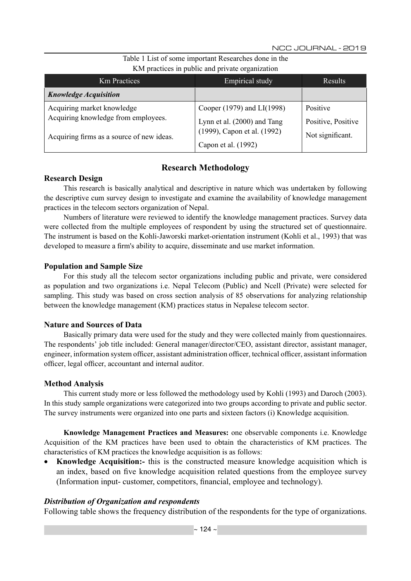| <b>Km</b> Practices                       | Empirical study             | Results            |
|-------------------------------------------|-----------------------------|--------------------|
| <b>Knowledge Acquisition</b>              |                             |                    |
| Acquiring market knowledge                | Cooper (1979) and LI(1998)  | Positive           |
| Acquiring knowledge from employees.       | Lynn et al. (2000) and Tang | Positive, Positive |
| Acquiring firms as a source of new ideas. | (1999), Capon et al. (1992) | Not significant.   |
|                                           | Capon et al. (1992)         |                    |

Table 1 List of some important Researches done in the KM practices in public and private organization

## **Research Methodology**

#### **Research Design**

This research is basically analytical and descriptive in nature which was undertaken by following the descriptive cum survey design to investigate and examine the availability of knowledge management practices in the telecom sectors organization of Nepal.

Numbers of literature were reviewed to identify the knowledge management practices. Survey data were collected from the multiple employees of respondent by using the structured set of questionnaire. The instrument is based on the Kohli-Jaworski market-orientation instrument (Kohli et al., 1993) that was developed to measure a firm's ability to acquire, disseminate and use market information.

## **Population and Sample Size**

For this study all the telecom sector organizations including public and private, were considered as population and two organizations i.e. Nepal Telecom (Public) and Ncell (Private) were selected for sampling. This study was based on cross section analysis of 85 observations for analyzing relationship between the knowledge management (KM) practices status in Nepalese telecom sector.

## **Nature and Sources of Data**

Basically primary data were used for the study and they were collected mainly from questionnaires. The respondents' job title included: General manager/director/CEO, assistant director, assistant manager, engineer, information system officer, assistant administration officer, technical officer, assistant information officer, legal officer, accountant and internal auditor.

## **Method Analysis**

This current study more or less followed the methodology used by Kohli (1993) and Daroch (2003). In this study sample organizations were categorized into two groups according to private and public sector. The survey instruments were organized into one parts and sixteen factors (i) Knowledge acquisition.

**Knowledge Management Practices and Measures:** one observable components i.e. Knowledge Acquisition of the KM practices have been used to obtain the characteristics of KM practices. The characteristics of KM practices the knowledge acquisition is as follows:

• **Knowledge Acquisition:-** this is the constructed measure knowledge acquisition which is an index, based on five knowledge acquisition related questions from the employee survey (Information input- customer, competitors, financial, employee and technology).

## *Distribution of Organization and respondents*

Following table shows the frequency distribution of the respondents for the type of organizations.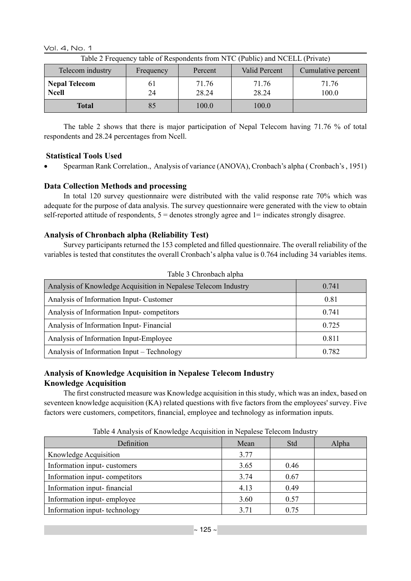Vol. 4, No. 1

| Table 2 Frequency table of Respondents from NTC (Public) and NCELL (Private) |           |                |                |                    |  |  |  |
|------------------------------------------------------------------------------|-----------|----------------|----------------|--------------------|--|--|--|
| Telecom industry                                                             | Frequency | Percent        | Valid Percent  | Cumulative percent |  |  |  |
| <b>Nepal Telecom</b><br><b>Ncell</b>                                         | 61<br>24  | 71.76<br>28 24 | 71.76<br>28.24 | 71.76<br>100.0     |  |  |  |
| Total                                                                        | 85        | 100.0          | 100.0          |                    |  |  |  |

The table 2 shows that there is major participation of Nepal Telecom having 71.76 % of total respondents and 28.24 percentages from Ncell.

## **Statistical Tools Used**

Spearman Rank Correlation., Analysis of variance (ANOVA), Cronbach's alpha ( Cronbach's , 1951)

## **Data Collection Methods and processing**

In total 120 survey questionnaire were distributed with the valid response rate 70% which was adequate for the purpose of data analysis. The survey questionnaire were generated with the view to obtain self-reported attitude of respondents,  $5 =$  denotes strongly agree and  $1 =$  indicates strongly disagree.

## **Analysis of Chronbach alpha (Reliability Test)**

Survey participants returned the 153 completed and filled questionnaire. The overall reliability of the variables is tested that constitutes the overall Cronbach's alpha value is 0.764 including 34 variables items.

| Analysis of Knowledge Acquisition in Nepalese Telecom Industry | 0.741 |
|----------------------------------------------------------------|-------|
| Analysis of Information Input-Customer                         | 0.81  |
| Analysis of Information Input-competitors                      | 0.741 |
| Analysis of Information Input-Financial                        | 0.725 |
| Analysis of Information Input-Employee                         | 0.811 |
| Analysis of Information Input – Technology                     | 0.782 |

## **Analysis of Knowledge Acquisition in Nepalese Telecom Industry Knowledge Acquisition**

The first constructed measure was Knowledge acquisition in this study, which was an index, based on seventeen knowledge acquisition (KA) related questions with five factors from the employees' survey. Five factors were customers, competitors, financial, employee and technology as information inputs.

| Definition                    | Mean | Std  | Alpha |
|-------------------------------|------|------|-------|
| Knowledge Acquisition         | 3.77 |      |       |
| Information input-customers   | 3.65 | 0.46 |       |
| Information input-competitors | 3.74 | 0.67 |       |
| Information input-financial   | 4.13 | 0.49 |       |
| Information input-employee    | 3.60 | 0.57 |       |
| Information input-technology  | 3.71 | 0.75 |       |

Table 4 Analysis of Knowledge Acquisition in Nepalese Telecom Industry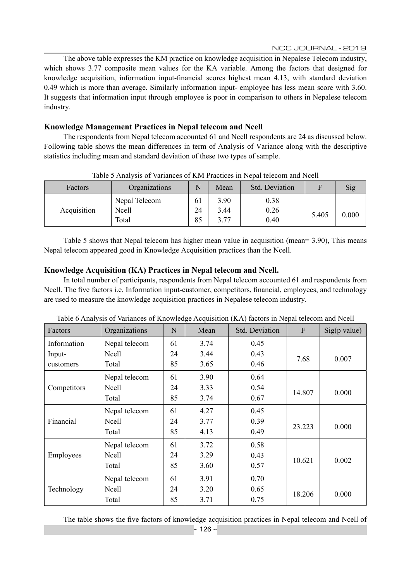The above table expresses the KM practice on knowledge acquisition in Nepalese Telecom industry, which shows 3.77 composite mean values for the KA variable. Among the factors that designed for knowledge acquisition, information input-financial scores highest mean 4.13, with standard deviation 0.49 which is more than average. Similarly information input- employee has less mean score with 3.60. It suggests that information input through employee is poor in comparison to others in Nepalese telecom industry.

## **Knowledge Management Practices in Nepal telecom and Ncell**

The respondents from Nepal telecom accounted 61 and Ncell respondents are 24 as discussed below. Following table shows the mean differences in term of Analysis of Variance along with the descriptive statistics including mean and standard deviation of these two types of sample.

| Factors     | Organizations                   | N              | Mean                 | <b>Std. Deviation</b> | F     | Sig   |
|-------------|---------------------------------|----------------|----------------------|-----------------------|-------|-------|
| Acquisition | Nepal Telecom<br>Ncell<br>Total | 61<br>24<br>85 | 3.90<br>3.44<br>3.77 | 0.38<br>0.26<br>0.40  | 5.405 | 0.000 |

Table 5 Analysis of Variances of KM Practices in Nepal telecom and Ncell

Table 5 shows that Nepal telecom has higher mean value in acquisition (mean= 3.90), This means Nepal telecom appeared good in Knowledge Acquisition practices than the Ncell.

#### **Knowledge Acquisition (KA) Practices in Nepal telecom and Ncell.**

In total number of participants, respondents from Nepal telecom accounted 61 and respondents from Ncell. The five factors i.e. Information input-customer, competitors, financial, employees, and technology are used to measure the knowledge acquisition practices in Nepalese telecom industry.

| Factors     | raoic o rinaryono or variances or renownedge recumention (rer r) necessity in recepting and recent<br>Organizations | N  | Mean | Std. Deviation | $\mathbf{F}$ | $Sig(p \text{ value})$ |
|-------------|---------------------------------------------------------------------------------------------------------------------|----|------|----------------|--------------|------------------------|
| Information | Nepal telecom                                                                                                       | 61 | 3.74 | 0.45           |              |                        |
| Input-      | Ncell                                                                                                               | 24 | 3.44 | 0.43           |              |                        |
| customers   | Total                                                                                                               | 85 | 3.65 | 0.46           | 7.68         | 0.007                  |
|             | Nepal telecom                                                                                                       | 61 | 3.90 | 0.64           |              |                        |
| Competitors | Ncell                                                                                                               | 24 | 3.33 | 0.54           | 14.807       | 0.000                  |
|             | Total                                                                                                               | 85 | 3.74 | 0.67           |              |                        |
|             | Nepal telecom                                                                                                       | 61 | 4.27 | 0.45           |              |                        |
| Financial   | Ncell                                                                                                               | 24 | 3.77 | 0.39           |              |                        |
|             | Total                                                                                                               | 85 | 4.13 | 0.49           | 23.223       | 0.000                  |
|             | Nepal telecom                                                                                                       | 61 | 3.72 | 0.58           |              |                        |
| Employees   | Ncell                                                                                                               | 24 | 3.29 | 0.43           |              |                        |
|             | Total                                                                                                               | 85 | 3.60 | 0.57           | 10.621       | 0.002                  |
|             | Nepal telecom                                                                                                       | 61 | 3.91 | 0.70           |              |                        |
| Technology  | <b>Ncell</b>                                                                                                        | 24 | 3.20 | 0.65           | 18.206       | 0.000                  |
|             | Total                                                                                                               | 85 | 3.71 | 0.75           |              |                        |

Table 6 Analysis of Variances of Knowledge Acquisition (KA) factors in Nepal telecom and Ncell

The table shows the five factors of knowledge acquisition practices in Nepal telecom and Ncell of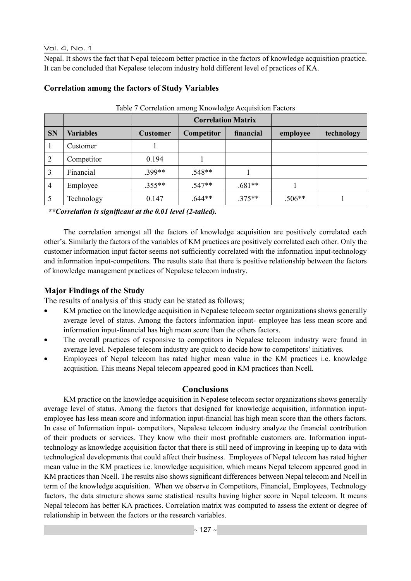#### Vol. 4, No. 1

Nepal. It shows the fact that Nepal telecom better practice in the factors of knowledge acquisition practice. It can be concluded that Nepalese telecom industry hold different level of practices of KA.

|                |                  |                 | <b>Correlation Matrix</b> |           |          |            |
|----------------|------------------|-----------------|---------------------------|-----------|----------|------------|
| <b>SN</b>      | <b>Variables</b> | <b>Customer</b> | Competitor                | financial | employee | technology |
|                | Customer         |                 |                           |           |          |            |
| 2              | Competitor       | 0.194           |                           |           |          |            |
| 3              | Financial        | $.399**$        | $.548**$                  |           |          |            |
| $\overline{4}$ | Employee         | $.355**$        | 547**                     | $.681**$  |          |            |
|                | Technology       | 0.147           | $.644**$                  | $.375**$  | $.506**$ |            |

#### **Correlation among the factors of Study Variables**

Table 7 Correlation among Knowledge Acquisition Factors

*\*\*Correlation is significant at the 0.01 level (2-tailed).*

The correlation amongst all the factors of knowledge acquisition are positively correlated each other's. Similarly the factors of the variables of KM practices are positively correlated each other. Only the customer information input factor seems not sufficiently correlated with the information input-technology and information input-competitors. The results state that there is positive relationship between the factors of knowledge management practices of Nepalese telecom industry.

## **Major Findings of the Study**

The results of analysis of this study can be stated as follows;

- KM practice on the knowledge acquisition in Nepalese telecom sector organizations shows generally average level of status. Among the factors information input- employee has less mean score and information input-financial has high mean score than the others factors.
- The overall practices of responsive to competitors in Nepalese telecom industry were found in average level. Nepalese telecom industry are quick to decide how to competitors' initiatives.
- Employees of Nepal telecom has rated higher mean value in the KM practices i.e. knowledge acquisition. This means Nepal telecom appeared good in KM practices than Ncell.

## **Conclusions**

KM practice on the knowledge acquisition in Nepalese telecom sector organizations shows generally average level of status. Among the factors that designed for knowledge acquisition, information inputemployee has less mean score and information input-financial has high mean score than the others factors. In case of Information input- competitors, Nepalese telecom industry analyze the financial contribution of their products or services. They know who their most profitable customers are. Information inputtechnology as knowledge acquisition factor that there is still need of improving in keeping up to data with technological developments that could affect their business. Employees of Nepal telecom has rated higher mean value in the KM practices i.e. knowledge acquisition, which means Nepal telecom appeared good in KM practices than Ncell. The results also shows significant differences between Nepal telecom and Ncell in term of the knowledge acquisition. When we observe in Competitors, Financial, Employees, Technology factors, the data structure shows same statistical results having higher score in Nepal telecom. It means Nepal telecom has better KA practices. Correlation matrix was computed to assess the extent or degree of relationship in between the factors or the research variables.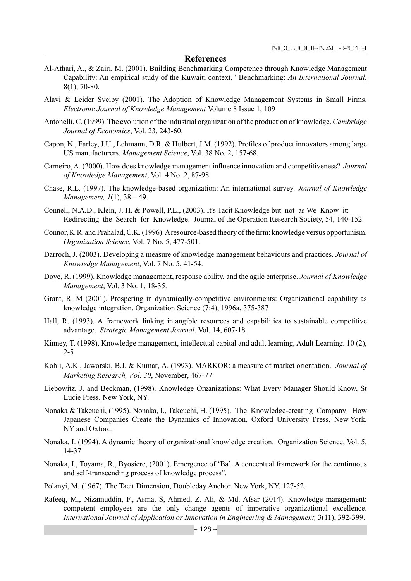#### **References**

- Al-Athari, A., & Zairi, M. (2001). Building Benchmarking Competence through Knowledge Management Capability: An empirical study of the Kuwaiti context, ' Benchmarking: *An International Journal*, 8(1), 70-80.
- Alavi & Leider Sveiby (2001). The Adoption of Knowledge Management Systems in Small Firms. *Electronic Journal of Knowledge Management* Volume 8 Issue 1, 109
- Antonelli, C. (1999). The evolution of the industrial organization of the production of knowledge. *Cambridge Journal of Economics*, Vol. 23, 243-60.
- Capon, N., Farley, J.U., Lehmann, D.R. & Hulbert, J.M. (1992). Profiles of product innovators among large US manufacturers. *Management Science*, Vol. 38 No. 2, 157-68.
- Carneiro, A. (2000). How does knowledge management influence innovation and competitiveness? *Journal of Knowledge Management*, Vol. 4 No. 2, 87-98.
- Chase, R.L. (1997). The knowledge-based organization: An international survey. *Journal of Knowledge Management, 1*(1), 38 – 49.
- Connell, N.A.D., Klein, J. H. & Powell, P.L., (2003). It's Tacit Knowledge but not as We Know it: Redirecting the Search for Knowledge. Journal of the Operation Research Society, 54, 140-152.
- Connor, K.R. and Prahalad, C.K. (1996). A resource-based theory of the firm: knowledge versus opportunism. *Organization Science,* Vol. 7 No. 5, 477-501.
- Darroch, J. (2003). Developing a measure of knowledge management behaviours and practices. *Journal of Knowledge Management*, Vol. 7 No. 5, 41-54.
- Dove, R. (1999). Knowledge management, response ability, and the agile enterprise. *Journal of Knowledge Management*, Vol. 3 No. 1, 18-35.
- Grant, R. M (2001). Prospering in dynamically-competitive environments: Organizational capability as knowledge integration. Organization Science (7:4), 1996a, 375-387
- Hall, R. (1993). A framework linking intangible resources and capabilities to sustainable competitive advantage. *Strategic Management Journal*, Vol. 14, 607-18.
- Kinney, T. (1998). Knowledge management, intellectual capital and adult learning, Adult Learning. 10 (2), 2-5
- Kohli, A.K., Jaworski, B.J. & Kumar, A. (1993). MARKOR: a measure of market orientation. *Journal of Marketing Research, Vol. 30*, November, 467-77
- Liebowitz, J. and Beckman, (1998). Knowledge Organizations: What Every Manager Should Know, St Lucie Press, New York, NY.
- Nonaka & Takeuchi, (1995). Nonaka, I., Takeuchi, H. (1995). The Knowledge-creating Company: How Japanese Companies Create the Dynamics of Innovation, Oxford University Press, New York, NY and Oxford.
- Nonaka, I. (1994). A dynamic theory of organizational knowledge creation. Organization Science, Vol. 5, 14-37
- Nonaka, I., Toyama, R., Byosiere, (2001). Emergence of 'Ba'. A conceptual framework for the continuous and self-transcending process of knowledge process".
- Polanyi, M. (1967). The Tacit Dimension, Doubleday Anchor. New York, NY. 127-52.
- Rafeeq, M., Nizamuddin, F., Asma, S, Ahmed, Z. Ali, & Md. Afsar (2014). Knowledge management: competent employees are the only change agents of imperative organizational excellence. *International Journal of Application or Innovation in Engineering & Management,* 3(11), 392-399.